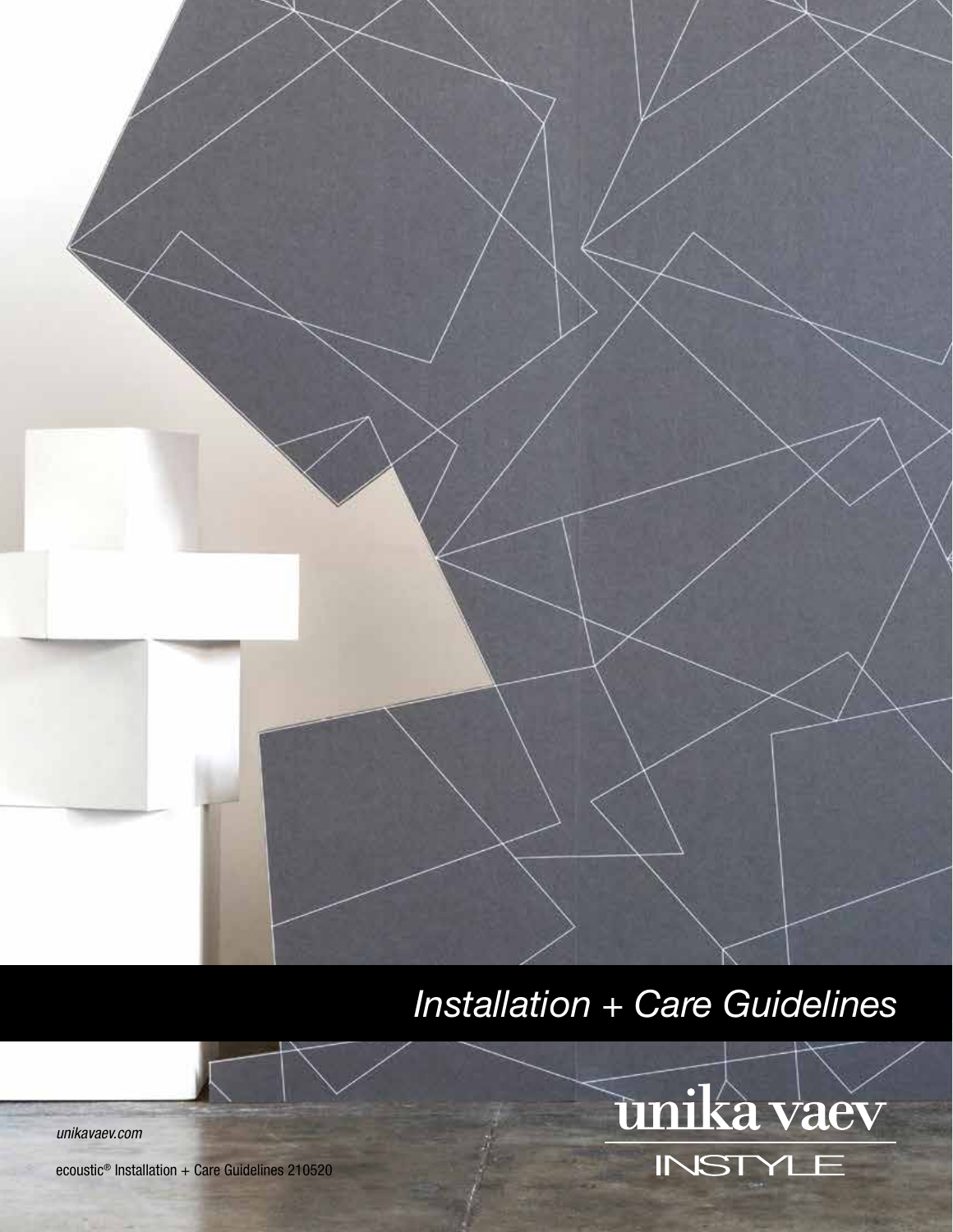

# *Installation + Care Guidelines*



*unikavaev.com*

ecoustic<sup>®</sup> Installation + Care Guidelines 210520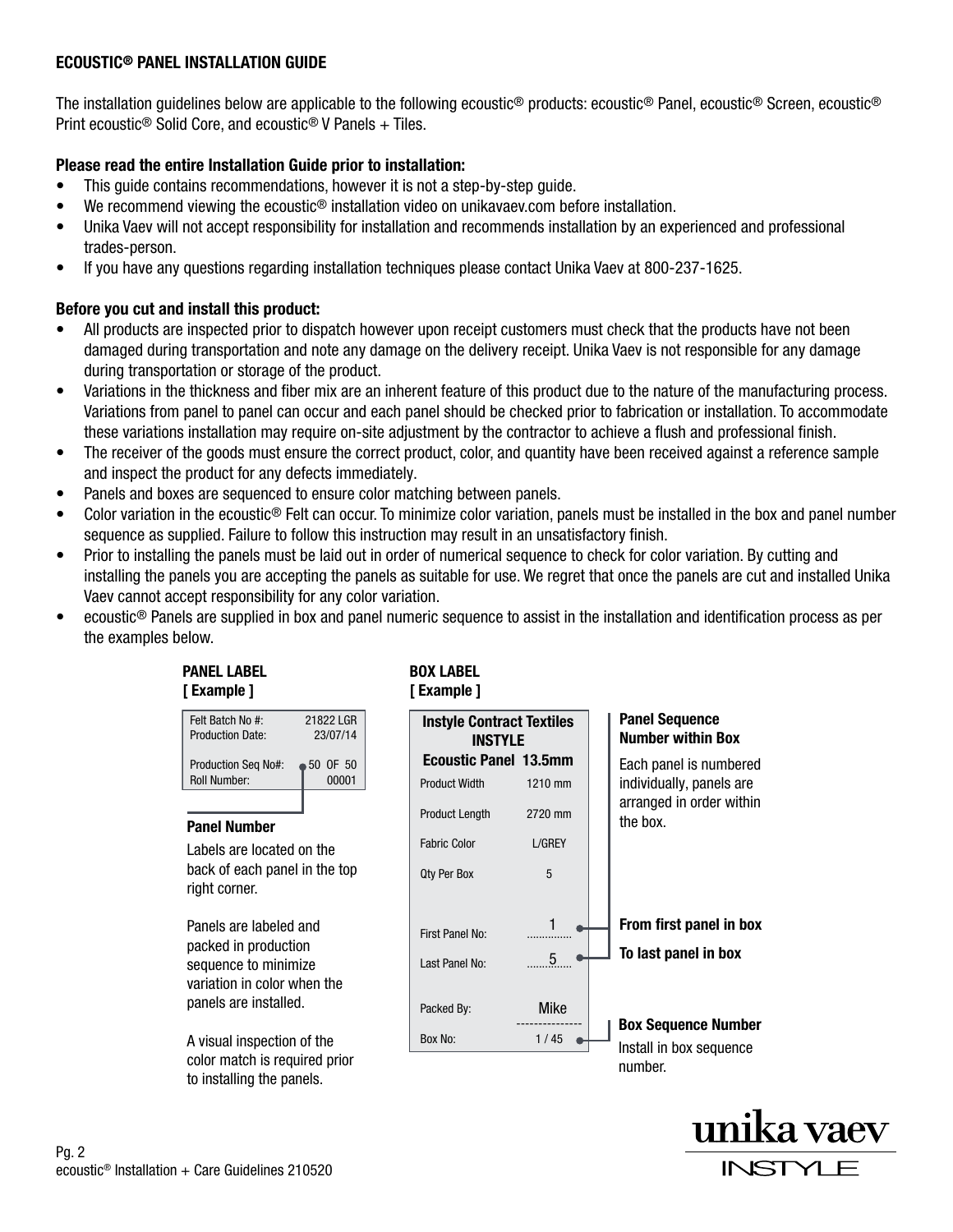#### ECOUSTIC® PANEL INSTALLATION GUIDE

The installation guidelines below are applicable to the following ecoustic® products: ecoustic® Panel, ecoustic® Screen, ecoustic® Print ecoustic® Solid Core, and ecoustic® V Panels + Tiles.

## Please read the entire Installation Guide prior to installation:

- This guide contains recommendations, however it is not a step-by-step guide.
- We recommend viewing the ecoustic<sup>®</sup> installation video on unikavaev.com before installation.
- Unika Vaev will not accept responsibility for installation and recommends installation by an experienced and professional trades-person.
- If you have any questions regarding installation techniques please contact Unika Vaev at 800-237-1625.

#### Before you cut and install this product:

- All products are inspected prior to dispatch however upon receipt customers must check that the products have not been damaged during transportation and note any damage on the delivery receipt. Unika Vaev is not responsible for any damage during transportation or storage of the product.
- Variations in the thickness and fiber mix are an inherent feature of this product due to the nature of the manufacturing process. Variations from panel to panel can occur and each panel should be checked prior to fabrication or installation. To accommodate these variations installation may require on-site adjustment by the contractor to achieve a flush and professional finish.
- The receiver of the goods must ensure the correct product, color, and quantity have been received against a reference sample and inspect the product for any defects immediately.
- Panels and boxes are sequenced to ensure color matching between panels.
- Color variation in the ecoustic® Felt can occur. To minimize color variation, panels must be installed in the box and panel number sequence as supplied. Failure to follow this instruction may result in an unsatisfactory finish.
- Prior to installing the panels must be laid out in order of numerical sequence to check for color variation. By cutting and installing the panels you are accepting the panels as suitable for use. We regret that once the panels are cut and installed Unika Vaev cannot accept responsibility for any color variation.
- ecoustic® Panels are supplied in box and panel numeric sequence to assist in the installation and identification process as per the examples below.



A visual inspection of the color match is required prior to installing the panels.

## BOX LABEL [ Example ]



# From first panel in box

Box Sequence Number

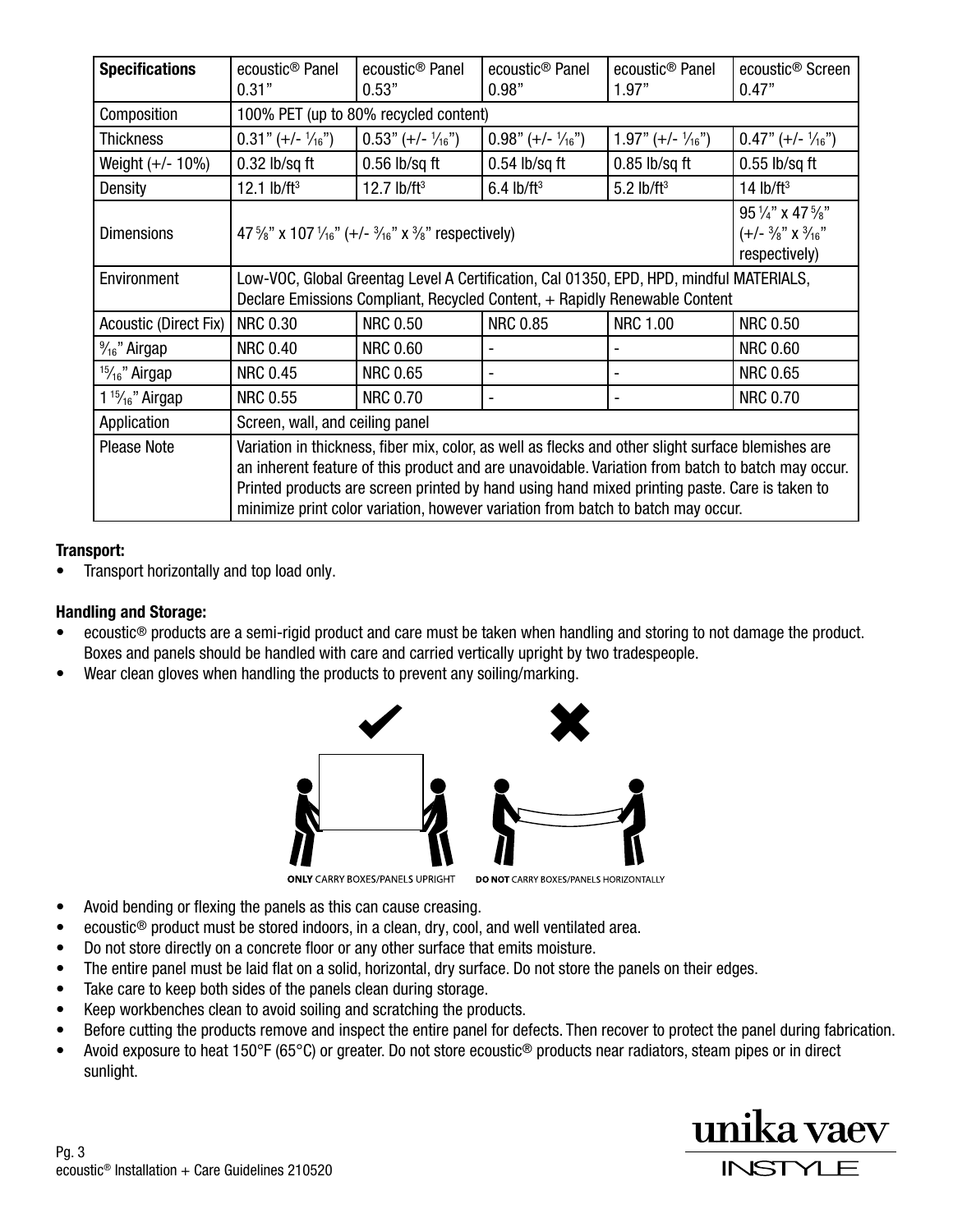| <b>Specifications</b>                  | ecoustic <sup>®</sup> Panel<br>0.31"                                                                                                                                                                                                                                                                                                                                                         | ecoustic <sup>®</sup> Panel<br>0.53" | ecoustic <sup>®</sup> Panel<br>0.98" | ecoustic <sup>®</sup> Panel<br>1.97" | ecoustic <sup>®</sup> Screen<br>0.47"                                                  |
|----------------------------------------|----------------------------------------------------------------------------------------------------------------------------------------------------------------------------------------------------------------------------------------------------------------------------------------------------------------------------------------------------------------------------------------------|--------------------------------------|--------------------------------------|--------------------------------------|----------------------------------------------------------------------------------------|
| Composition                            | 100% PET (up to 80% recycled content)                                                                                                                                                                                                                                                                                                                                                        |                                      |                                      |                                      |                                                                                        |
| Thickness                              | $0.31$ " (+/- $\frac{1}{16}$ ")                                                                                                                                                                                                                                                                                                                                                              | $0.53" (+/- 1/16")$                  | $0.98$ " (+/- $\frac{1}{16}$ ")      | $1.97" (+/- \frac{1}{16}")$          | $0.47" (+/- 1/16")$                                                                    |
| Weight (+/- 10%)                       | $0.32$ lb/sq ft                                                                                                                                                                                                                                                                                                                                                                              | $0.56$ lb/sq ft                      | $0.54$ lb/sq ft                      | $0.85$ lb/sq ft                      | $0.55$ lb/sq ft                                                                        |
| Density                                | 12.1 $lb/ft^3$                                                                                                                                                                                                                                                                                                                                                                               | 12.7 $lb/ft^3$                       | $6.4$ lb/ft <sup>3</sup>             | $5.2$ lb/ft <sup>3</sup>             | 14 $lb/ft3$                                                                            |
| <b>Dimensions</b>                      | 47 $\frac{5}{8}$ " x 107 $\frac{1}{16}$ " (+/- $\frac{3}{16}$ " x $\frac{3}{8}$ " respectively)                                                                                                                                                                                                                                                                                              |                                      |                                      |                                      | $95\frac{1}{4}$ " x 47 $\frac{5}{8}$ "<br>(+/- ¾" x ¾ <sub>16</sub> "<br>respectively) |
| Environment                            | Low-VOC, Global Greentag Level A Certification, Cal 01350, EPD, HPD, mindful MATERIALS,<br>Declare Emissions Compliant, Recycled Content, + Rapidly Renewable Content                                                                                                                                                                                                                        |                                      |                                      |                                      |                                                                                        |
| Acoustic (Direct Fix)                  | <b>NRC 0.30</b>                                                                                                                                                                                                                                                                                                                                                                              | <b>NRC 0.50</b>                      | <b>NRC 0.85</b>                      | <b>NRC 1.00</b>                      | <b>NRC 0.50</b>                                                                        |
| $\frac{9}{16}$ " Airgap                | <b>NRC 0.40</b>                                                                                                                                                                                                                                                                                                                                                                              | <b>NRC 0.60</b>                      |                                      |                                      | <b>NRC 0.60</b>                                                                        |
| <sup>15</sup> / <sub>16</sub> " Airgap | <b>NRC 0.45</b>                                                                                                                                                                                                                                                                                                                                                                              | <b>NRC 0.65</b>                      |                                      |                                      | <b>NRC 0.65</b>                                                                        |
| $1\frac{15}{16}$ " Airgap              | <b>NRC 0.55</b>                                                                                                                                                                                                                                                                                                                                                                              | <b>NRC 0.70</b>                      |                                      |                                      | <b>NRC 0.70</b>                                                                        |
| Application                            | Screen, wall, and ceiling panel                                                                                                                                                                                                                                                                                                                                                              |                                      |                                      |                                      |                                                                                        |
| <b>Please Note</b>                     | Variation in thickness, fiber mix, color, as well as flecks and other slight surface blemishes are<br>an inherent feature of this product and are unavoidable. Variation from batch to batch may occur.<br>Printed products are screen printed by hand using hand mixed printing paste. Care is taken to<br>minimize print color variation, however variation from batch to batch may occur. |                                      |                                      |                                      |                                                                                        |

## Transport:

• Transport horizontally and top load only.

## Handling and Storage:

- ecoustic® products are a semi-rigid product and care must be taken when handling and storing to not damage the product. Boxes and panels should be handled with care and carried vertically upright by two tradespeople.
- Wear clean gloves when handling the products to prevent any soiling/marking.



- Avoid bending or flexing the panels as this can cause creasing.
- ecoustic® product must be stored indoors, in a clean, dry, cool, and well ventilated area.
- Do not store directly on a concrete floor or any other surface that emits moisture.
- The entire panel must be laid flat on a solid, horizontal, dry surface. Do not store the panels on their edges.
- Take care to keep both sides of the panels clean during storage.
- Keep workbenches clean to avoid soiling and scratching the products.
- Before cutting the products remove and inspect the entire panel for defects. Then recover to protect the panel during fabrication.
- Avoid exposure to heat 150°F (65°C) or greater. Do not store ecoustic<sup>®</sup> products near radiators, steam pipes or in direct sunlight.

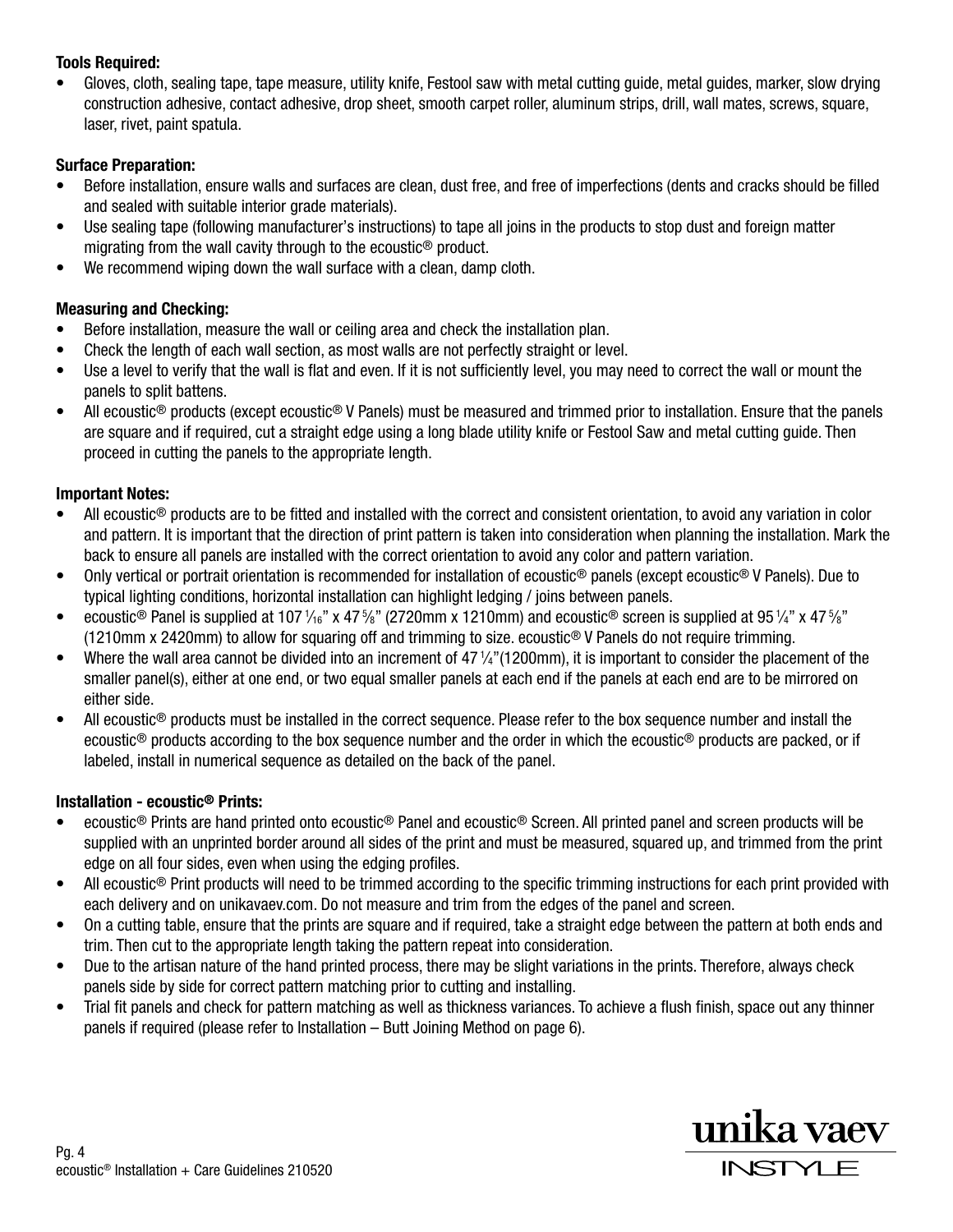## Tools Required:

• Gloves, cloth, sealing tape, tape measure, utility knife, Festool saw with metal cutting guide, metal guides, marker, slow drying construction adhesive, contact adhesive, drop sheet, smooth carpet roller, aluminum strips, drill, wall mates, screws, square, laser, rivet, paint spatula.

# Surface Preparation:

- Before installation, ensure walls and surfaces are clean, dust free, and free of imperfections (dents and cracks should be filled and sealed with suitable interior grade materials).
- Use sealing tape (following manufacturer's instructions) to tape all joins in the products to stop dust and foreign matter migrating from the wall cavity through to the ecoustic® product.
- We recommend wiping down the wall surface with a clean, damp cloth.

# Measuring and Checking:

- Before installation, measure the wall or ceiling area and check the installation plan.
- Check the length of each wall section, as most walls are not perfectly straight or level.
- Use a level to verify that the wall is flat and even. If it is not sufficiently level, you may need to correct the wall or mount the panels to split battens.
- All ecoustic<sup>®</sup> products (except ecoustic<sup>®</sup> V Panels) must be measured and trimmed prior to installation. Ensure that the panels are square and if required, cut a straight edge using a long blade utility knife or Festool Saw and metal cutting guide. Then proceed in cutting the panels to the appropriate length.

# Important Notes:

- All ecoustic<sup>®</sup> products are to be fitted and installed with the correct and consistent orientation, to avoid any variation in color and pattern. It is important that the direction of print pattern is taken into consideration when planning the installation. Mark the back to ensure all panels are installed with the correct orientation to avoid any color and pattern variation.
- Only vertical or portrait orientation is recommended for installation of ecoustic® panels (except ecoustic® V Panels). Due to typical lighting conditions, horizontal installation can highlight ledging / joins between panels.
- ecoustic<sup>®</sup> Panel is supplied at 107  $\frac{1}{16}$ " x 47  $\frac{5}{8}$ " (2720mm x 1210mm) and ecoustic® screen is supplied at 95  $\frac{1}{4}$ " x 47  $\frac{5}{8}$ " (1210mm x 2420mm) to allow for squaring off and trimming to size. ecoustic® V Panels do not require trimming.
- Where the wall area cannot be divided into an increment of  $47\frac{1}{4}$ "(1200mm), it is important to consider the placement of the smaller panel(s), either at one end, or two equal smaller panels at each end if the panels at each end are to be mirrored on either side.
- All ecoustic<sup>®</sup> products must be installed in the correct sequence. Please refer to the box sequence number and install the ecoustic® products according to the box sequence number and the order in which the ecoustic® products are packed, or if labeled, install in numerical sequence as detailed on the back of the panel.

# Installation - ecoustic® Prints:

- ecoustic® Prints are hand printed onto ecoustic® Panel and ecoustic® Screen. All printed panel and screen products will be supplied with an unprinted border around all sides of the print and must be measured, squared up, and trimmed from the print edge on all four sides, even when using the edging profiles.
- All ecoustic<sup>®</sup> Print products will need to be trimmed according to the specific trimming instructions for each print provided with each delivery and on unikavaev.com. Do not measure and trim from the edges of the panel and screen.
- On a cutting table, ensure that the prints are square and if required, take a straight edge between the pattern at both ends and trim. Then cut to the appropriate length taking the pattern repeat into consideration.
- Due to the artisan nature of the hand printed process, there may be slight variations in the prints. Therefore, always check panels side by side for correct pattern matching prior to cutting and installing.
- Trial fit panels and check for pattern matching as well as thickness variances. To achieve a flush finish, space out any thinner panels if required (please refer to Installation – Butt Joining Method on page 6).

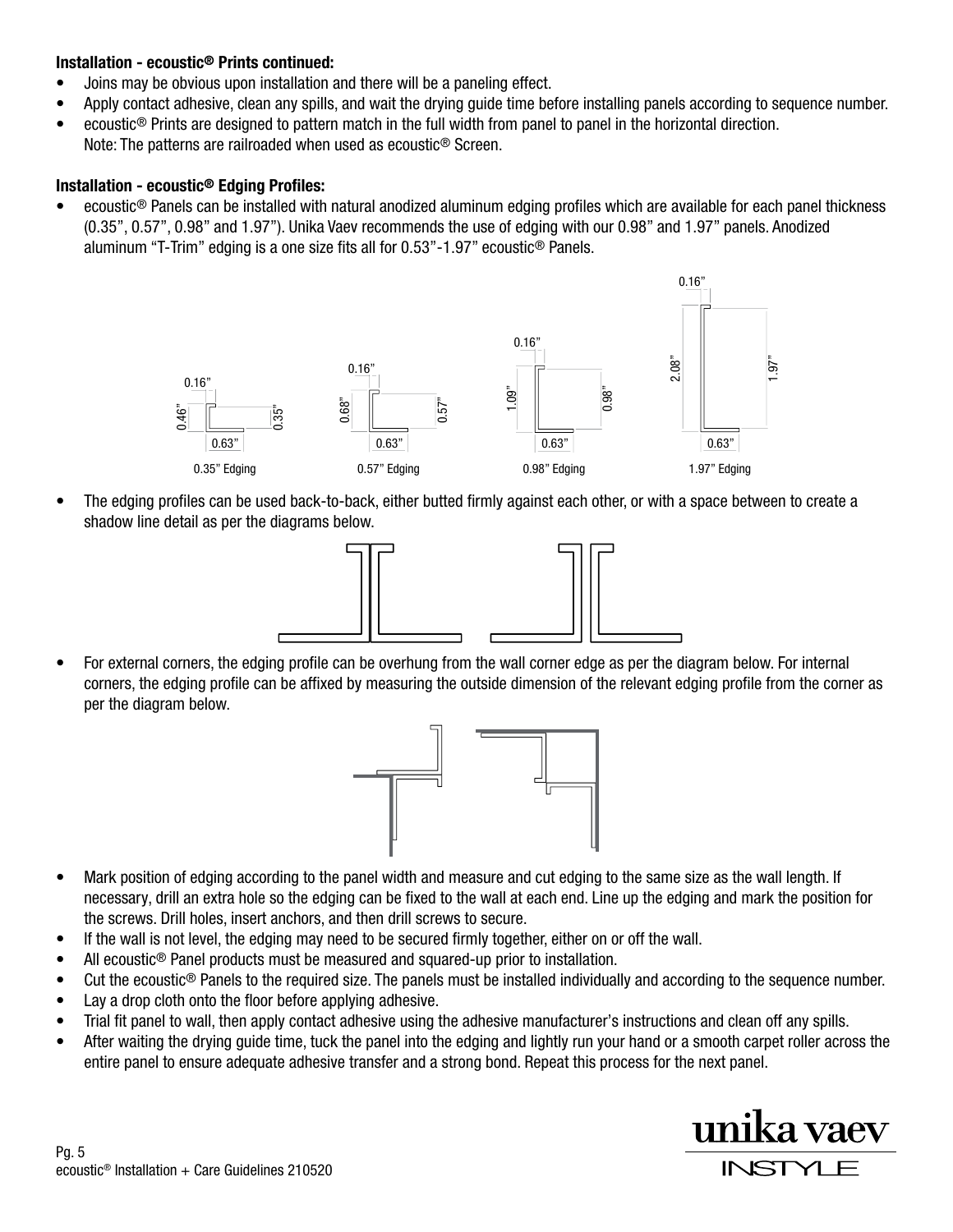### Installation - ecoustic® Prints continued:

- Joins may be obvious upon installation and there will be a paneling effect.
- Apply contact adhesive, clean any spills, and wait the drying guide time before installing panels according to sequence number.
- ecoustic<sup>®</sup> Prints are designed to pattern match in the full width from panel to panel in the horizontal direction.
- Note: The patterns are railroaded when used as ecoustic® Screen.

### Installation - ecoustic® Edging Profiles:

• ecoustic® Panels can be installed with natural anodized aluminum edging profiles which are available for each panel thickness (0.35", 0.57", 0.98" and 1.97"). Unika Vaev recommends the use of edging with our 0.98" and 1.97" panels. Anodized aluminum "T-Trim" edging is a one size fits all for 0.53"-1.97" ecoustic® Panels.



• The edging profiles can be used back-to-back, either butted firmly against each other, or with a space between to create a shadow line detail as per the diagrams below.



• For external corners, the edging profile can be overhung from the wall corner edge as per the diagram below. For internal corners, the edging profile can be affixed by measuring the outside dimension of the relevant edging profile from the corner as per the diagram below.



- Mark position of edging according to the panel width and measure and cut edging to the same size as the wall length. If necessary, drill an extra hole so the edging can be fixed to the wall at each end. Line up the edging and mark the position for the screws. Drill holes, insert anchors, and then drill screws to secure.
- If the wall is not level, the edging may need to be secured firmly together, either on or off the wall.
- All ecoustic<sup>®</sup> Panel products must be measured and squared-up prior to installation.
- Cut the ecoustic® Panels to the required size. The panels must be installed individually and according to the sequence number.
- Lay a drop cloth onto the floor before applying adhesive.
- Trial fit panel to wall, then apply contact adhesive using the adhesive manufacturer's instructions and clean off any spills.
- After waiting the drying guide time, tuck the panel into the edging and lightly run your hand or a smooth carpet roller across the entire panel to ensure adequate adhesive transfer and a strong bond. Repeat this process for the next panel.

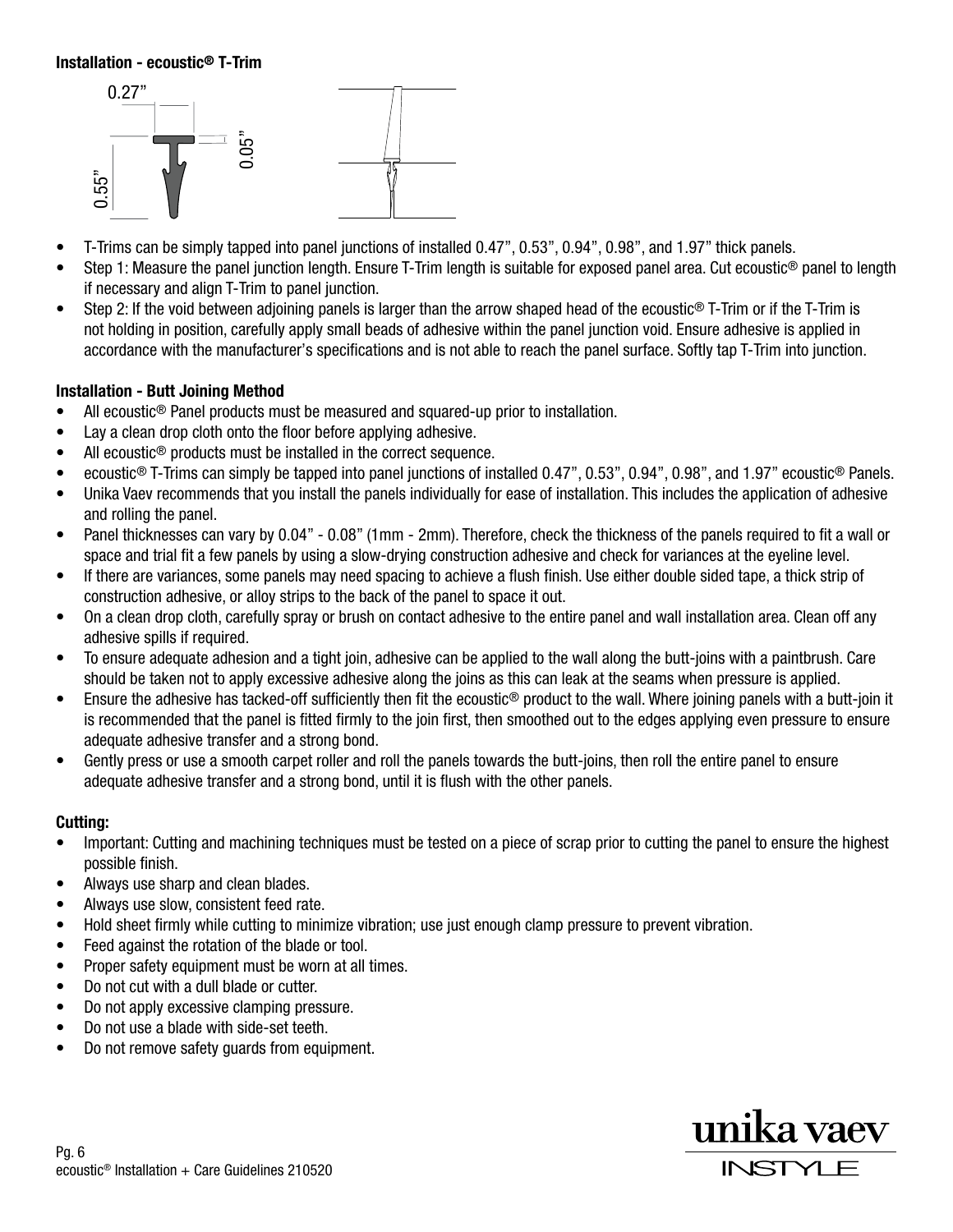#### Installation - ecoustic® T-Trim



- T-Trims can be simply tapped into panel junctions of installed 0.47", 0.53", 0.94", 0.98", and 1.97" thick panels.
- Step 1: Measure the panel junction length. Ensure T-Trim length is suitable for exposed panel area. Cut ecoustic<sup>®</sup> panel to length if necessary and align T-Trim to panel junction.
- Step 2: If the void between adjoining panels is larger than the arrow shaped head of the ecoustic® T-Trim or if the T-Trim is not holding in position, carefully apply small beads of adhesive within the panel junction void. Ensure adhesive is applied in accordance with the manufacturer's specifications and is not able to reach the panel surface. Softly tap T-Trim into junction.

#### Installation - Butt Joining Method

- All ecoustic<sup>®</sup> Panel products must be measured and squared-up prior to installation.
- Lay a clean drop cloth onto the floor before applying adhesive.
- All ecoustic<sup>®</sup> products must be installed in the correct sequence.
- ecoustic® T-Trims can simply be tapped into panel junctions of installed 0.47", 0.53", 0.94", 0.98", and 1.97" ecoustic® Panels.
- Unika Vaev recommends that you install the panels individually for ease of installation. This includes the application of adhesive and rolling the panel.
- Panel thicknesses can vary by 0.04" 0.08" (1mm 2mm). Therefore, check the thickness of the panels required to fit a wall or space and trial fit a few panels by using a slow-drying construction adhesive and check for variances at the eyeline level.
- If there are variances, some panels may need spacing to achieve a flush finish. Use either double sided tape, a thick strip of construction adhesive, or alloy strips to the back of the panel to space it out.
- On a clean drop cloth, carefully spray or brush on contact adhesive to the entire panel and wall installation area. Clean off any adhesive spills if required.
- To ensure adequate adhesion and a tight join, adhesive can be applied to the wall along the butt-joins with a paintbrush. Care should be taken not to apply excessive adhesive along the joins as this can leak at the seams when pressure is applied.
- Ensure the adhesive has tacked-off sufficiently then fit the ecoustic® product to the wall. Where joining panels with a butt-join it is recommended that the panel is fitted firmly to the join first, then smoothed out to the edges applying even pressure to ensure adequate adhesive transfer and a strong bond.
- Gently press or use a smooth carpet roller and roll the panels towards the butt-joins, then roll the entire panel to ensure adequate adhesive transfer and a strong bond, until it is flush with the other panels.

#### Cutting:

- Important: Cutting and machining techniques must be tested on a piece of scrap prior to cutting the panel to ensure the highest possible finish.
- Always use sharp and clean blades.
- Always use slow, consistent feed rate.
- Hold sheet firmly while cutting to minimize vibration; use just enough clamp pressure to prevent vibration.
- Feed against the rotation of the blade or tool.
- Proper safety equipment must be worn at all times.
- Do not cut with a dull blade or cutter.
- Do not apply excessive clamping pressure.
- Do not use a blade with side-set teeth.
- Do not remove safety guards from equipment.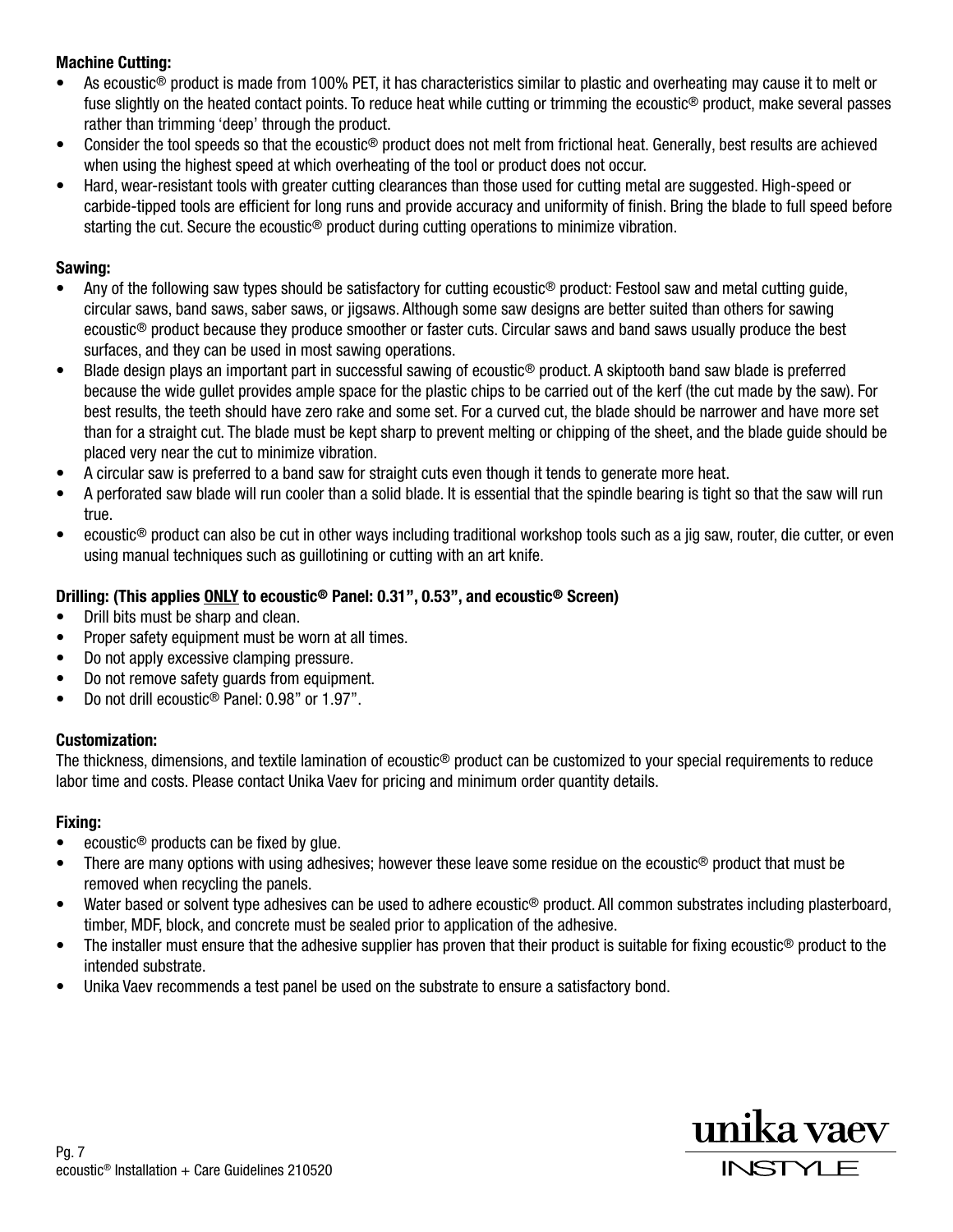# Machine Cutting:

- As ecoustic<sup>®</sup> product is made from 100% PET, it has characteristics similar to plastic and overheating may cause it to melt or fuse slightly on the heated contact points. To reduce heat while cutting or trimming the ecoustic® product, make several passes rather than trimming 'deep' through the product.
- Consider the tool speeds so that the ecoustic<sup>®</sup> product does not melt from frictional heat. Generally, best results are achieved when using the highest speed at which overheating of the tool or product does not occur.
- Hard, wear-resistant tools with greater cutting clearances than those used for cutting metal are suggested. High-speed or carbide-tipped tools are efficient for long runs and provide accuracy and uniformity of finish. Bring the blade to full speed before starting the cut. Secure the ecoustic<sup>®</sup> product during cutting operations to minimize vibration.

## Sawing:

- Any of the following saw types should be satisfactory for cutting ecoustic<sup>®</sup> product: Festool saw and metal cutting guide, circular saws, band saws, saber saws, or jigsaws. Although some saw designs are better suited than others for sawing ecoustic® product because they produce smoother or faster cuts. Circular saws and band saws usually produce the best surfaces, and they can be used in most sawing operations.
- Blade design plays an important part in successful sawing of ecoustic® product. A skiptooth band saw blade is preferred because the wide gullet provides ample space for the plastic chips to be carried out of the kerf (the cut made by the saw). For best results, the teeth should have zero rake and some set. For a curved cut, the blade should be narrower and have more set than for a straight cut. The blade must be kept sharp to prevent melting or chipping of the sheet, and the blade guide should be placed very near the cut to minimize vibration.
- A circular saw is preferred to a band saw for straight cuts even though it tends to generate more heat.
- A perforated saw blade will run cooler than a solid blade. It is essential that the spindle bearing is tight so that the saw will run true.
- ecoustic® product can also be cut in other ways including traditional workshop tools such as a jig saw, router, die cutter, or even using manual techniques such as guillotining or cutting with an art knife.

## Drilling: (This applies ONLY to ecoustic® Panel: 0.31", 0.53", and ecoustic® Screen)

- Drill bits must be sharp and clean.
- Proper safety equipment must be worn at all times.
- Do not apply excessive clamping pressure.
- Do not remove safety guards from equipment.
- Do not drill ecoustic® Panel: 0.98" or 1.97".

### Customization:

The thickness, dimensions, and textile lamination of ecoustic® product can be customized to your special requirements to reduce labor time and costs. Please contact Unika Vaev for pricing and minimum order quantity details.

### Fixing:

- ecoustic<sup>®</sup> products can be fixed by qlue.
- There are many options with using adhesives; however these leave some residue on the ecoustic<sup>®</sup> product that must be removed when recycling the panels.
- Water based or solvent type adhesives can be used to adhere ecoustic<sup>®</sup> product. All common substrates including plasterboard, timber, MDF, block, and concrete must be sealed prior to application of the adhesive.
- The installer must ensure that the adhesive supplier has proven that their product is suitable for fixing ecoustic<sup>®</sup> product to the intended substrate.
- Unika Vaev recommends a test panel be used on the substrate to ensure a satisfactory bond.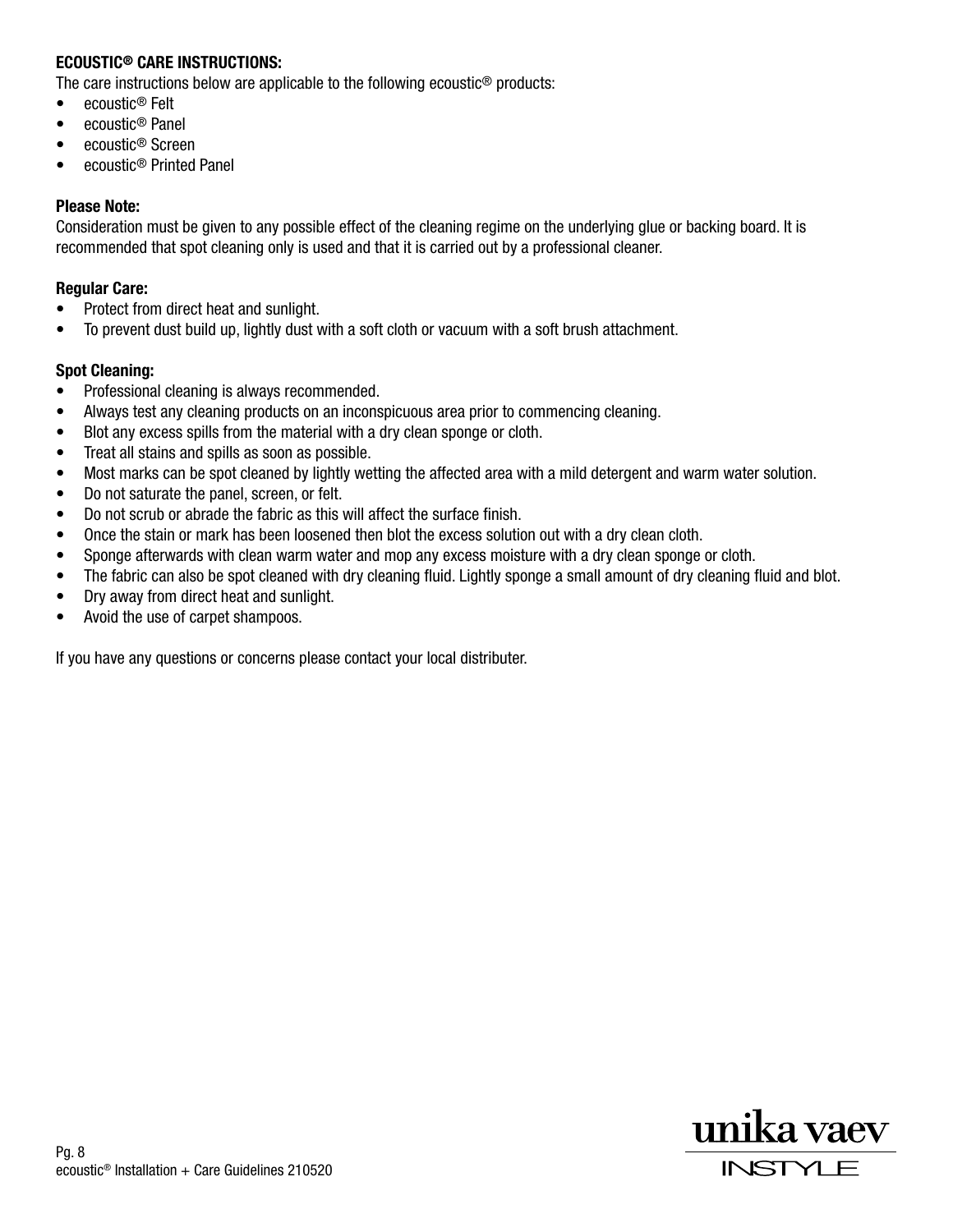### ECOUSTIC® CARE INSTRUCTIONS:

The care instructions below are applicable to the following ecoustic® products:

- ecoustic® Felt
- ecoustic® Panel
- ecoustic® Screen
- ecoustic® Printed Panel

#### Please Note:

Consideration must be given to any possible effect of the cleaning regime on the underlying glue or backing board. It is recommended that spot cleaning only is used and that it is carried out by a professional cleaner.

#### Regular Care:

- Protect from direct heat and sunlight.
- To prevent dust build up, lightly dust with a soft cloth or vacuum with a soft brush attachment.

#### Spot Cleaning:

- Professional cleaning is always recommended.
- Always test any cleaning products on an inconspicuous area prior to commencing cleaning.
- Blot any excess spills from the material with a dry clean sponge or cloth.
- Treat all stains and spills as soon as possible.
- Most marks can be spot cleaned by lightly wetting the affected area with a mild detergent and warm water solution.
- Do not saturate the panel, screen, or felt.
- Do not scrub or abrade the fabric as this will affect the surface finish.
- Once the stain or mark has been loosened then blot the excess solution out with a dry clean cloth.
- Sponge afterwards with clean warm water and mop any excess moisture with a dry clean sponge or cloth.
- The fabric can also be spot cleaned with dry cleaning fluid. Lightly sponge a small amount of dry cleaning fluid and blot.
- Dry away from direct heat and sunlight.
- Avoid the use of carpet shampoos.

If you have any questions or concerns please contact your local distributer.